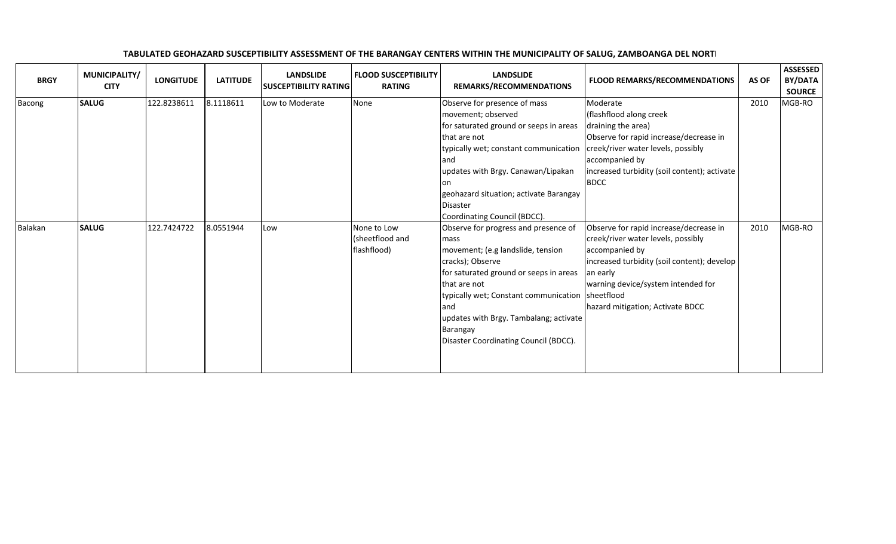| <b>BRGY</b>    | MUNICIPALITY/<br><b>CITY</b> | <b>LONGITUDE</b> | <b>LATITUDE</b> | <b>LANDSLIDE</b><br><b>SUSCEPTIBILITY RATING</b> |                            | <b>FLOOD SUSCEPTIBILITY</b><br><b>RATING</b> | <b>LANDSLIDE</b><br>REMARKS/RECOMMENDATIONS                                                                                                                                                                                                                                                                                  | <b>FLOOD REMARKS/RECOMMENDATIONS</b>                                                                                                                                                                                                | AS OF | <b>ASSESSED</b><br>BY/DATA<br><b>SOURCE</b> |
|----------------|------------------------------|------------------|-----------------|--------------------------------------------------|----------------------------|----------------------------------------------|------------------------------------------------------------------------------------------------------------------------------------------------------------------------------------------------------------------------------------------------------------------------------------------------------------------------------|-------------------------------------------------------------------------------------------------------------------------------------------------------------------------------------------------------------------------------------|-------|---------------------------------------------|
| Bacong         | <b>SALUG</b>                 | 122.8238611      | 8.1118611       | Low to Moderate                                  | None                       |                                              | Observe for presence of mass<br>movement; observed<br>for saturated ground or seeps in areas<br>that are not<br>typically wet; constant communication<br>and<br>updates with Brgy. Canawan/Lipakan<br>lon<br>geohazard situation; activate Barangay<br><b>Disaster</b><br>Coordinating Council (BDCC).                       | Moderate<br>(flashflood along creek<br>draining the area)<br>Observe for rapid increase/decrease in<br>creek/river water levels, possibly<br>accompanied by<br>increased turbidity (soil content); activate<br><b>BDCC</b>          | 2010  | MGB-RO                                      |
| <b>Balakan</b> | <b>SALUG</b>                 | 122.7424722      | 8.0551944       | Low                                              | None to Low<br>flashflood) | (sheetflood and                              | Observe for progress and presence of<br>mass<br>movement; (e.g landslide, tension<br>cracks); Observe<br>for saturated ground or seeps in areas<br>that are not<br>typically wet; Constant communication   sheetflood<br>land<br>updates with Brgy. Tambalang; activate<br>Barangay<br>Disaster Coordinating Council (BDCC). | Observe for rapid increase/decrease in<br>creek/river water levels, possibly<br>accompanied by<br>increased turbidity (soil content); develop<br>an early<br>warning device/system intended for<br>hazard mitigation; Activate BDCC | 2010  | MGB-RO                                      |

## TABULATED GEOHAZARD SUSCEPTIBILITY ASSESSMENT OF THE BARANGAY CENTERS WITHIN THE MUNICIPALITY OF SALUG, ZAMBOANGA DEL NORTI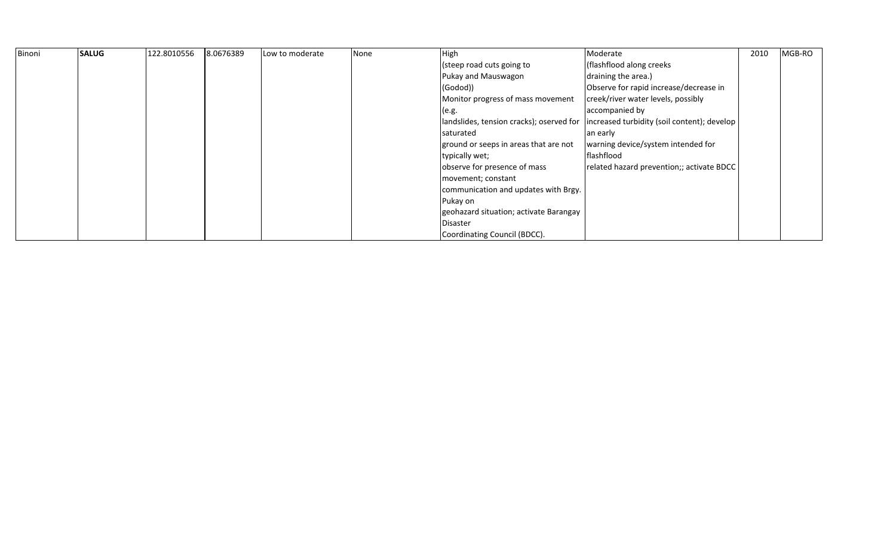| Binoni | <b>SALUG</b> | 122.8010556 | 8.0676389 | Low to moderate | None | <b>High</b>                              | Moderate                                    | 2010 | MGB-RO |
|--------|--------------|-------------|-----------|-----------------|------|------------------------------------------|---------------------------------------------|------|--------|
|        |              |             |           |                 |      | (steep road cuts going to                | (flashflood along creeks                    |      |        |
|        |              |             |           |                 |      | Pukay and Mauswagon                      | draining the area.)                         |      |        |
|        |              |             |           |                 |      | $ $ (Godod))                             | Observe for rapid increase/decrease in      |      |        |
|        |              |             |           |                 |      | Monitor progress of mass movement        | creek/river water levels, possibly          |      |        |
|        |              |             |           |                 |      | (e.g.                                    | accompanied by                              |      |        |
|        |              |             |           |                 |      | landslides, tension cracks); oserved for | increased turbidity (soil content); develop |      |        |
|        |              |             |           |                 |      | saturated                                | an early                                    |      |        |
|        |              |             |           |                 |      | ground or seeps in areas that are not    | warning device/system intended for          |      |        |
|        |              |             |           |                 |      | typically wet;                           | flashflood                                  |      |        |
|        |              |             |           |                 |      | observe for presence of mass             | related hazard prevention;; activate BDCC   |      |        |
|        |              |             |           |                 |      | movement; constant                       |                                             |      |        |
|        |              |             |           |                 |      | communication and updates with Brgy.     |                                             |      |        |
|        |              |             |           |                 |      | Pukay on                                 |                                             |      |        |
|        |              |             |           |                 |      | geohazard situation; activate Barangay   |                                             |      |        |
|        |              |             |           |                 |      | <b>Disaster</b>                          |                                             |      |        |
|        |              |             |           |                 |      | Coordinating Council (BDCC).             |                                             |      |        |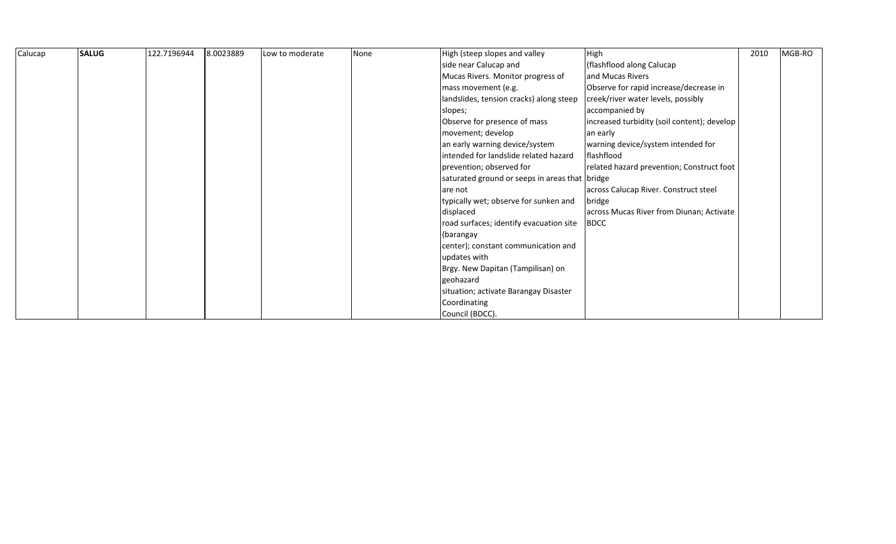| Calucap | <b>SALUG</b> | 122.7196944 | 8.0023889 | Low to moderate | None | High (steep slopes and valley                  | High                                        | 2010 | MGB-RO |  |
|---------|--------------|-------------|-----------|-----------------|------|------------------------------------------------|---------------------------------------------|------|--------|--|
|         |              |             |           |                 |      | side near Calucap and                          | (flashflood along Calucap                   |      |        |  |
|         |              |             |           |                 |      | Mucas Rivers. Monitor progress of              | and Mucas Rivers                            |      |        |  |
|         |              |             |           |                 |      | mass movement (e.g.                            | Observe for rapid increase/decrease in      |      |        |  |
|         |              |             |           |                 |      | andslides, tension cracks) along steep         | creek/river water levels, possibly          |      |        |  |
|         |              |             |           |                 |      | slopes;                                        | accompanied by                              |      |        |  |
|         |              |             |           |                 |      | Observe for presence of mass                   | increased turbidity (soil content); develop |      |        |  |
|         |              |             |           |                 |      | movement; develop                              | an early                                    |      |        |  |
|         |              |             |           |                 |      | an early warning device/system                 | warning device/system intended for          |      |        |  |
|         |              |             |           |                 |      | intended for landslide related hazard          | flashflood                                  |      |        |  |
|         |              |             |           |                 |      | prevention; observed for                       | related hazard prevention; Construct foot   |      |        |  |
|         |              |             |           |                 |      | saturated ground or seeps in areas that bridge |                                             |      |        |  |
|         |              |             |           |                 |      | are not                                        | across Calucap River. Construct steel       |      |        |  |
|         |              |             |           |                 |      | typically wet; observe for sunken and          | bridge                                      |      |        |  |
|         |              |             |           |                 |      | displaced                                      | across Mucas River from Diunan; Activate    |      |        |  |
|         |              |             |           |                 |      | road surfaces; identify evacuation site        | <b>BDCC</b>                                 |      |        |  |
|         |              |             |           |                 |      | (barangay                                      |                                             |      |        |  |
|         |              |             |           |                 |      | center); constant communication and            |                                             |      |        |  |
|         |              |             |           |                 |      | updates with                                   |                                             |      |        |  |
|         |              |             |           |                 |      | Brgy. New Dapitan (Tampilisan) on              |                                             |      |        |  |
|         |              |             |           |                 |      | geohazard                                      |                                             |      |        |  |
|         |              |             |           |                 |      | situation; activate Barangay Disaster          |                                             |      |        |  |
|         |              |             |           |                 |      | Coordinating                                   |                                             |      |        |  |
|         |              |             |           |                 |      | Council (BDCC).                                |                                             |      |        |  |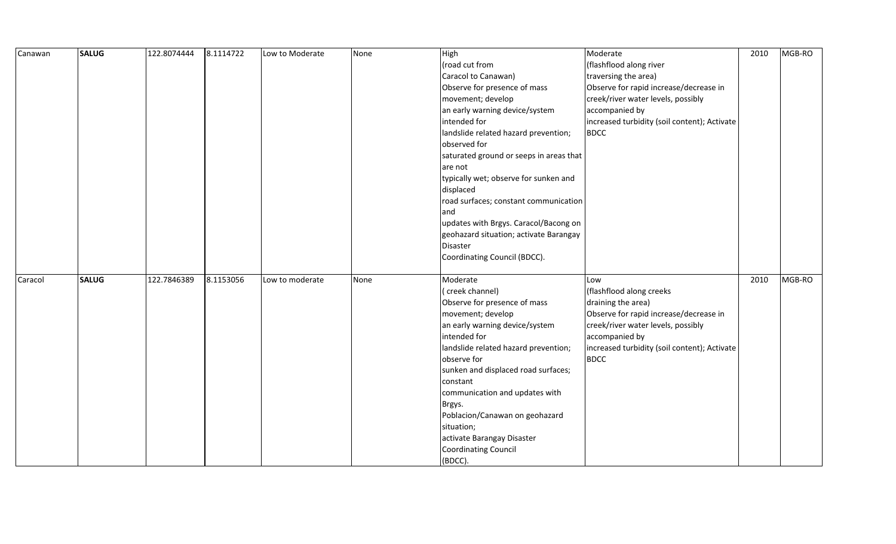| Canawan | <b>SALUG</b> | 122.8074444 | 8.1114722 | Low to Moderate | None | High                                    | Moderate                                     | 2010 | MGB-RO |
|---------|--------------|-------------|-----------|-----------------|------|-----------------------------------------|----------------------------------------------|------|--------|
|         |              |             |           |                 |      | (road cut from                          | (flashflood along river                      |      |        |
|         |              |             |           |                 |      | Caracol to Canawan)                     | traversing the area)                         |      |        |
|         |              |             |           |                 |      | Observe for presence of mass            | Observe for rapid increase/decrease in       |      |        |
|         |              |             |           |                 |      | movement; develop                       | creek/river water levels, possibly           |      |        |
|         |              |             |           |                 |      | an early warning device/system          | accompanied by                               |      |        |
|         |              |             |           |                 |      | intended for                            | increased turbidity (soil content); Activate |      |        |
|         |              |             |           |                 |      | landslide related hazard prevention;    | <b>BDCC</b>                                  |      |        |
|         |              |             |           |                 |      | observed for                            |                                              |      |        |
|         |              |             |           |                 |      | saturated ground or seeps in areas that |                                              |      |        |
|         |              |             |           |                 |      | are not                                 |                                              |      |        |
|         |              |             |           |                 |      | typically wet; observe for sunken and   |                                              |      |        |
|         |              |             |           |                 |      | displaced                               |                                              |      |        |
|         |              |             |           |                 |      | road surfaces; constant communication   |                                              |      |        |
|         |              |             |           |                 |      | and                                     |                                              |      |        |
|         |              |             |           |                 |      | updates with Brgys. Caracol/Bacong on   |                                              |      |        |
|         |              |             |           |                 |      | geohazard situation; activate Barangay  |                                              |      |        |
|         |              |             |           |                 |      | <b>Disaster</b>                         |                                              |      |        |
|         |              |             |           |                 |      | Coordinating Council (BDCC).            |                                              |      |        |
|         |              |             |           |                 |      |                                         |                                              |      |        |
| Caracol | <b>SALUG</b> | 122.7846389 | 8.1153056 | Low to moderate | None | Moderate                                | Low                                          | 2010 | MGB-RO |
|         |              |             |           |                 |      | (creek channel)                         | (flashflood along creeks                     |      |        |
|         |              |             |           |                 |      | Observe for presence of mass            | draining the area)                           |      |        |
|         |              |             |           |                 |      | movement; develop                       | Observe for rapid increase/decrease in       |      |        |
|         |              |             |           |                 |      | an early warning device/system          | creek/river water levels, possibly           |      |        |
|         |              |             |           |                 |      | intended for                            | accompanied by                               |      |        |
|         |              |             |           |                 |      | landslide related hazard prevention;    | increased turbidity (soil content); Activate |      |        |
|         |              |             |           |                 |      | observe for                             | <b>BDCC</b>                                  |      |        |
|         |              |             |           |                 |      | sunken and displaced road surfaces;     |                                              |      |        |
|         |              |             |           |                 |      | constant                                |                                              |      |        |
|         |              |             |           |                 |      | communication and updates with          |                                              |      |        |
|         |              |             |           |                 |      | Brgys.                                  |                                              |      |        |
|         |              |             |           |                 |      | Poblacion/Canawan on geohazard          |                                              |      |        |
|         |              |             |           |                 |      | situation;                              |                                              |      |        |
|         |              |             |           |                 |      | activate Barangay Disaster              |                                              |      |        |
|         |              |             |           |                 |      | Coordinating Council                    |                                              |      |        |
|         |              |             |           |                 |      | (BDCC).                                 |                                              |      |        |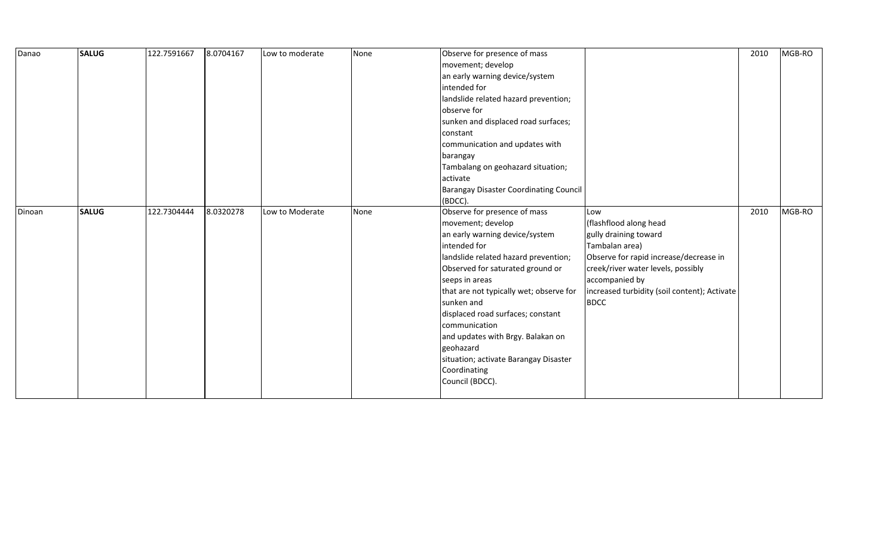| Danao  | <b>SALUG</b> | 122.7591667 | 8.0704167 | Low to moderate | None | Observe for presence of mass                  |                                              | 2010 | MGB-RO |
|--------|--------------|-------------|-----------|-----------------|------|-----------------------------------------------|----------------------------------------------|------|--------|
|        |              |             |           |                 |      | movement; develop                             |                                              |      |        |
|        |              |             |           |                 |      | an early warning device/system                |                                              |      |        |
|        |              |             |           |                 |      | intended for                                  |                                              |      |        |
|        |              |             |           |                 |      | landslide related hazard prevention;          |                                              |      |        |
|        |              |             |           |                 |      | observe for                                   |                                              |      |        |
|        |              |             |           |                 |      | sunken and displaced road surfaces;           |                                              |      |        |
|        |              |             |           |                 |      | constant                                      |                                              |      |        |
|        |              |             |           |                 |      | communication and updates with                |                                              |      |        |
|        |              |             |           |                 |      | barangay                                      |                                              |      |        |
|        |              |             |           |                 |      | Tambalang on geohazard situation;             |                                              |      |        |
|        |              |             |           |                 |      | activate                                      |                                              |      |        |
|        |              |             |           |                 |      | <b>Barangay Disaster Coordinating Council</b> |                                              |      |        |
|        |              |             |           |                 |      | (BDCC).                                       |                                              |      |        |
| Dinoan | <b>SALUG</b> | 122.7304444 | 8.0320278 | Low to Moderate | None | Observe for presence of mass                  | Low                                          | 2010 | MGB-RO |
|        |              |             |           |                 |      | movement; develop                             | (flashflood along head                       |      |        |
|        |              |             |           |                 |      | an early warning device/system                | gully draining toward                        |      |        |
|        |              |             |           |                 |      | intended for                                  | Tambalan area)                               |      |        |
|        |              |             |           |                 |      | landslide related hazard prevention;          | Observe for rapid increase/decrease in       |      |        |
|        |              |             |           |                 |      | Observed for saturated ground or              | creek/river water levels, possibly           |      |        |
|        |              |             |           |                 |      | seeps in areas                                | accompanied by                               |      |        |
|        |              |             |           |                 |      | that are not typically wet; observe for       | increased turbidity (soil content); Activate |      |        |
|        |              |             |           |                 |      | sunken and                                    | <b>BDCC</b>                                  |      |        |
|        |              |             |           |                 |      | displaced road surfaces; constant             |                                              |      |        |
|        |              |             |           |                 |      | communication                                 |                                              |      |        |
|        |              |             |           |                 |      | and updates with Brgy. Balakan on             |                                              |      |        |
|        |              |             |           |                 |      | geohazard                                     |                                              |      |        |
|        |              |             |           |                 |      | situation; activate Barangay Disaster         |                                              |      |        |
|        |              |             |           |                 |      | Coordinating                                  |                                              |      |        |
|        |              |             |           |                 |      | Council (BDCC).                               |                                              |      |        |
|        |              |             |           |                 |      |                                               |                                              |      |        |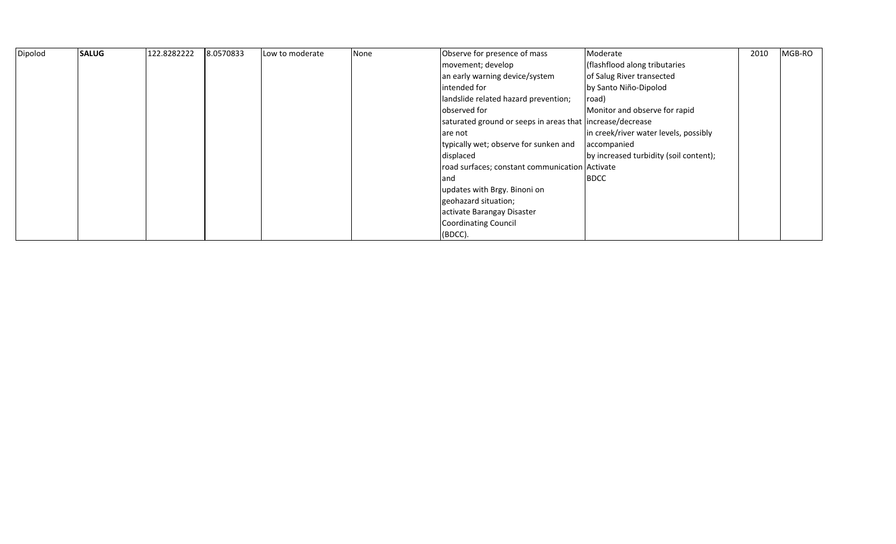| Dipolod | <b>SALUG</b> | 122.8282222 | 8.0570833 | Low to moderate | None | Observe for presence of mass                              | Moderate                               | 2010 | MGB-RO |
|---------|--------------|-------------|-----------|-----------------|------|-----------------------------------------------------------|----------------------------------------|------|--------|
|         |              |             |           |                 |      | movement; develop                                         | (flashflood along tributaries          |      |        |
|         |              |             |           |                 |      | an early warning device/system                            | of Salug River transected              |      |        |
|         |              |             |           |                 |      | lintended for                                             | by Santo Niño-Dipolod                  |      |        |
|         |              |             |           |                 |      | landslide related hazard prevention;                      | road)                                  |      |        |
|         |              |             |           |                 |      | observed for                                              | Monitor and observe for rapid          |      |        |
|         |              |             |           |                 |      | saturated ground or seeps in areas that increase/decrease |                                        |      |        |
|         |              |             |           |                 |      | are not                                                   | in creek/river water levels, possibly  |      |        |
|         |              |             |           |                 |      | typically wet; observe for sunken and                     | accompanied                            |      |        |
|         |              |             |           |                 |      | displaced                                                 | by increased turbidity (soil content); |      |        |
|         |              |             |           |                 |      | road surfaces; constant communication Activate            |                                        |      |        |
|         |              |             |           |                 |      | land                                                      | <b>BDCC</b>                            |      |        |
|         |              |             |           |                 |      | updates with Brgy. Binoni on                              |                                        |      |        |
|         |              |             |           |                 |      | geohazard situation;                                      |                                        |      |        |
|         |              |             |           |                 |      | activate Barangay Disaster                                |                                        |      |        |
|         |              |             |           |                 |      | Coordinating Council                                      |                                        |      |        |
|         |              |             |           |                 |      | $(BDCC)$ .                                                |                                        |      |        |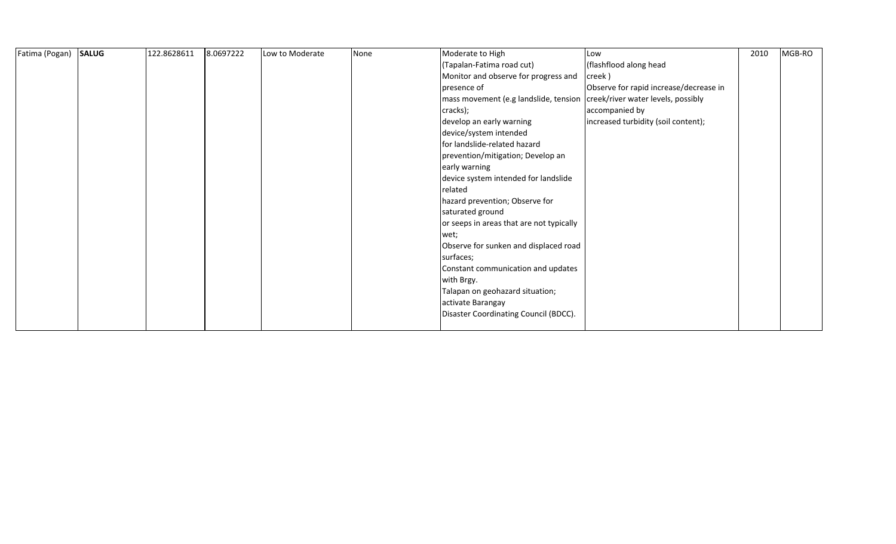| Fatima (Pogan) | <b>SALUG</b> | 122.8628611 | 8.0697222 | Low to Moderate | None | Moderate to High                         | Low                                    | 2010 | MGB-RO |
|----------------|--------------|-------------|-----------|-----------------|------|------------------------------------------|----------------------------------------|------|--------|
|                |              |             |           |                 |      | (Tapalan-Fatima road cut)                | (flashflood along head                 |      |        |
|                |              |             |           |                 |      | Monitor and observe for progress and     | creek)                                 |      |        |
|                |              |             |           |                 |      | presence of                              | Observe for rapid increase/decrease in |      |        |
|                |              |             |           |                 |      | mass movement (e.g landslide, tension    | creek/river water levels, possibly     |      |        |
|                |              |             |           |                 |      | cracks);                                 | accompanied by                         |      |        |
|                |              |             |           |                 |      | develop an early warning                 | increased turbidity (soil content);    |      |        |
|                |              |             |           |                 |      | device/system intended                   |                                        |      |        |
|                |              |             |           |                 |      | for landslide-related hazard             |                                        |      |        |
|                |              |             |           |                 |      | prevention/mitigation; Develop an        |                                        |      |        |
|                |              |             |           |                 |      | early warning                            |                                        |      |        |
|                |              |             |           |                 |      | device system intended for landslide     |                                        |      |        |
|                |              |             |           |                 |      | related                                  |                                        |      |        |
|                |              |             |           |                 |      | hazard prevention; Observe for           |                                        |      |        |
|                |              |             |           |                 |      | saturated ground                         |                                        |      |        |
|                |              |             |           |                 |      | or seeps in areas that are not typically |                                        |      |        |
|                |              |             |           |                 |      | wet;                                     |                                        |      |        |
|                |              |             |           |                 |      | Observe for sunken and displaced road    |                                        |      |        |
|                |              |             |           |                 |      | surfaces;                                |                                        |      |        |
|                |              |             |           |                 |      | Constant communication and updates       |                                        |      |        |
|                |              |             |           |                 |      | with Brgy.                               |                                        |      |        |
|                |              |             |           |                 |      | Talapan on geohazard situation;          |                                        |      |        |
|                |              |             |           |                 |      | activate Barangay                        |                                        |      |        |
|                |              |             |           |                 |      | Disaster Coordinating Council (BDCC).    |                                        |      |        |
|                |              |             |           |                 |      |                                          |                                        |      |        |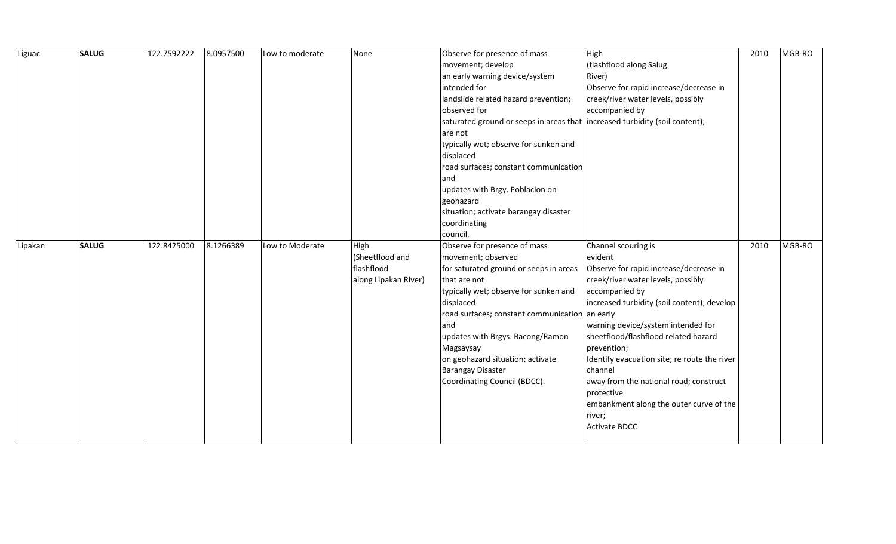| Liguac  | <b>SALUG</b> | 122.7592222 | 8.0957500 | Low to moderate | None                 | Observe for presence of mass                                                | High                                         | 2010 | MGB-RO |
|---------|--------------|-------------|-----------|-----------------|----------------------|-----------------------------------------------------------------------------|----------------------------------------------|------|--------|
|         |              |             |           |                 |                      | movement; develop                                                           | (flashflood along Salug                      |      |        |
|         |              |             |           |                 |                      | an early warning device/system                                              | River)                                       |      |        |
|         |              |             |           |                 |                      | intended for                                                                | Observe for rapid increase/decrease in       |      |        |
|         |              |             |           |                 |                      | landslide related hazard prevention;                                        | creek/river water levels, possibly           |      |        |
|         |              |             |           |                 |                      | observed for                                                                | accompanied by                               |      |        |
|         |              |             |           |                 |                      | saturated ground or seeps in areas that increased turbidity (soil content); |                                              |      |        |
|         |              |             |           |                 |                      | are not                                                                     |                                              |      |        |
|         |              |             |           |                 |                      | typically wet; observe for sunken and                                       |                                              |      |        |
|         |              |             |           |                 |                      | displaced                                                                   |                                              |      |        |
|         |              |             |           |                 |                      | road surfaces; constant communication                                       |                                              |      |        |
|         |              |             |           |                 |                      | and                                                                         |                                              |      |        |
|         |              |             |           |                 |                      | updates with Brgy. Poblacion on                                             |                                              |      |        |
|         |              |             |           |                 |                      | geohazard                                                                   |                                              |      |        |
|         |              |             |           |                 |                      | situation; activate barangay disaster                                       |                                              |      |        |
|         |              |             |           |                 |                      | coordinating                                                                |                                              |      |        |
|         |              |             |           |                 |                      | council.                                                                    |                                              |      |        |
| Lipakan | <b>SALUG</b> | 122.8425000 | 8.1266389 | Low to Moderate | High                 | Observe for presence of mass                                                | Channel scouring is                          | 2010 | MGB-RO |
|         |              |             |           |                 | (Sheetflood and      | movement; observed                                                          | evident                                      |      |        |
|         |              |             |           |                 | flashflood           | for saturated ground or seeps in areas                                      | Observe for rapid increase/decrease in       |      |        |
|         |              |             |           |                 | along Lipakan River) | that are not                                                                | creek/river water levels, possibly           |      |        |
|         |              |             |           |                 |                      | typically wet; observe for sunken and                                       | accompanied by                               |      |        |
|         |              |             |           |                 |                      | displaced                                                                   | increased turbidity (soil content); develop  |      |        |
|         |              |             |           |                 |                      | road surfaces; constant communication an early                              |                                              |      |        |
|         |              |             |           |                 |                      | and                                                                         | warning device/system intended for           |      |        |
|         |              |             |           |                 |                      | updates with Brgys. Bacong/Ramon                                            | sheetflood/flashflood related hazard         |      |        |
|         |              |             |           |                 |                      | Magsaysay                                                                   | prevention;                                  |      |        |
|         |              |             |           |                 |                      | on geohazard situation; activate                                            | Identify evacuation site; re route the river |      |        |
|         |              |             |           |                 |                      | <b>Barangay Disaster</b>                                                    | channel                                      |      |        |
|         |              |             |           |                 |                      | Coordinating Council (BDCC).                                                | away from the national road; construct       |      |        |
|         |              |             |           |                 |                      |                                                                             | protective                                   |      |        |
|         |              |             |           |                 |                      |                                                                             | embankment along the outer curve of the      |      |        |
|         |              |             |           |                 |                      |                                                                             | river;                                       |      |        |
|         |              |             |           |                 |                      |                                                                             | <b>Activate BDCC</b>                         |      |        |
|         |              |             |           |                 |                      |                                                                             |                                              |      |        |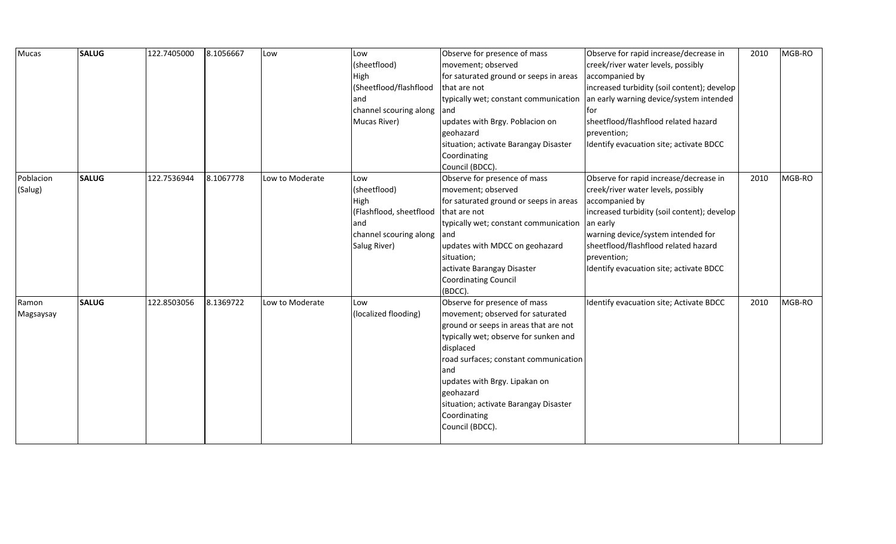| Mucas     | <b>SALUG</b> | 122.7405000 | 8.1056667 | Low             | Low                     | Observe for presence of mass           | Observe for rapid increase/decrease in      | 2010 | MGB-RO |
|-----------|--------------|-------------|-----------|-----------------|-------------------------|----------------------------------------|---------------------------------------------|------|--------|
|           |              |             |           |                 | (sheetflood)            | movement; observed                     | creek/river water levels, possibly          |      |        |
|           |              |             |           |                 | High                    | for saturated ground or seeps in areas | accompanied by                              |      |        |
|           |              |             |           |                 | (Sheetflood/flashflood  | that are not                           | increased turbidity (soil content); develop |      |        |
|           |              |             |           |                 | and                     | typically wet; constant communication  | an early warning device/system intended     |      |        |
|           |              |             |           |                 | channel scouring along  | land                                   | tor                                         |      |        |
|           |              |             |           |                 | Mucas River)            | updates with Brgy. Poblacion on        | sheetflood/flashflood related hazard        |      |        |
|           |              |             |           |                 |                         | geohazard                              | prevention;                                 |      |        |
|           |              |             |           |                 |                         | situation; activate Barangay Disaster  | Identify evacuation site; activate BDCC     |      |        |
|           |              |             |           |                 |                         | Coordinating                           |                                             |      |        |
|           |              |             |           |                 |                         | Council (BDCC).                        |                                             |      |        |
| Poblacion | <b>SALUG</b> | 122.7536944 | 8.1067778 | Low to Moderate | Low                     | Observe for presence of mass           | Observe for rapid increase/decrease in      | 2010 | MGB-RO |
| (Salug)   |              |             |           |                 | (sheetflood)            | movement; observed                     | creek/river water levels, possibly          |      |        |
|           |              |             |           |                 | High                    | for saturated ground or seeps in areas | accompanied by                              |      |        |
|           |              |             |           |                 | (Flashflood, sheetflood | that are not                           | increased turbidity (soil content); develop |      |        |
|           |              |             |           |                 | and                     | typically wet; constant communication  | an early                                    |      |        |
|           |              |             |           |                 | channel scouring along  | land                                   | warning device/system intended for          |      |        |
|           |              |             |           |                 | Salug River)            | updates with MDCC on geohazard         | sheetflood/flashflood related hazard        |      |        |
|           |              |             |           |                 |                         | situation;                             | prevention;                                 |      |        |
|           |              |             |           |                 |                         | activate Barangay Disaster             | Identify evacuation site; activate BDCC     |      |        |
|           |              |             |           |                 |                         | <b>Coordinating Council</b>            |                                             |      |        |
|           |              |             |           |                 |                         | (BDCC).                                |                                             |      |        |
| Ramon     | <b>SALUG</b> | 122.8503056 | 8.1369722 | Low to Moderate | Low                     | Observe for presence of mass           | Identify evacuation site; Activate BDCC     | 2010 | MGB-RO |
| Magsaysay |              |             |           |                 | (localized flooding)    | movement; observed for saturated       |                                             |      |        |
|           |              |             |           |                 |                         | ground or seeps in areas that are not  |                                             |      |        |
|           |              |             |           |                 |                         | typically wet; observe for sunken and  |                                             |      |        |
|           |              |             |           |                 |                         | displaced                              |                                             |      |        |
|           |              |             |           |                 |                         | road surfaces; constant communication  |                                             |      |        |
|           |              |             |           |                 |                         | and                                    |                                             |      |        |
|           |              |             |           |                 |                         | updates with Brgy. Lipakan on          |                                             |      |        |
|           |              |             |           |                 |                         | geohazard                              |                                             |      |        |
|           |              |             |           |                 |                         | situation; activate Barangay Disaster  |                                             |      |        |
|           |              |             |           |                 |                         | Coordinating                           |                                             |      |        |
|           |              |             |           |                 |                         | Council (BDCC).                        |                                             |      |        |
|           |              |             |           |                 |                         |                                        |                                             |      |        |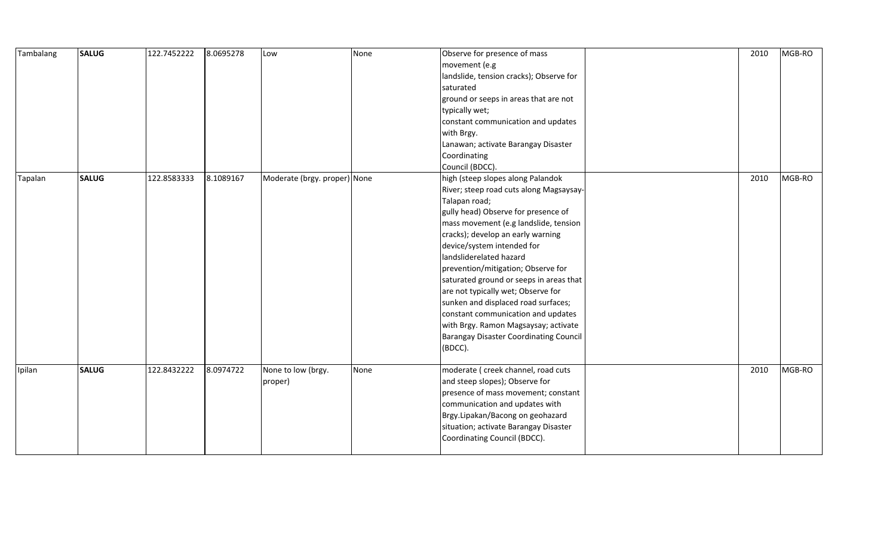| Tambalang | <b>SALUG</b> | 122.7452222 | 8.0695278 | Low                           | None | Observe for presence of mass<br>movement (e.g<br>landslide, tension cracks); Observe for<br>saturated<br>ground or seeps in areas that are not<br>typically wet;<br>constant communication and updates<br>with Brgy.<br>Lanawan; activate Barangay Disaster<br>Coordinating<br>Council (BDCC).                                                                                                                                                                                                                                                                                      | 2010 | MGB-RO |
|-----------|--------------|-------------|-----------|-------------------------------|------|-------------------------------------------------------------------------------------------------------------------------------------------------------------------------------------------------------------------------------------------------------------------------------------------------------------------------------------------------------------------------------------------------------------------------------------------------------------------------------------------------------------------------------------------------------------------------------------|------|--------|
| Tapalan   | <b>SALUG</b> | 122.8583333 | 8.1089167 | Moderate (brgy. proper) None  |      | high (steep slopes along Palandok<br>River; steep road cuts along Magsaysay-<br>Talapan road;<br>gully head) Observe for presence of<br>mass movement (e.g landslide, tension<br>cracks); develop an early warning<br>device/system intended for<br>landsliderelated hazard<br>prevention/mitigation; Observe for<br>saturated ground or seeps in areas that<br>are not typically wet; Observe for<br>sunken and displaced road surfaces;<br>constant communication and updates<br>with Brgy. Ramon Magsaysay; activate<br><b>Barangay Disaster Coordinating Council</b><br>(BDCC). | 2010 | MGB-RO |
| Ipilan    | <b>SALUG</b> | 122.8432222 | 8.0974722 | None to low (brgy.<br>proper) | None | moderate ( creek channel, road cuts<br>and steep slopes); Observe for<br>presence of mass movement; constant<br>communication and updates with<br>Brgy.Lipakan/Bacong on geohazard<br>situation; activate Barangay Disaster<br>Coordinating Council (BDCC).                                                                                                                                                                                                                                                                                                                         | 2010 | MGB-RO |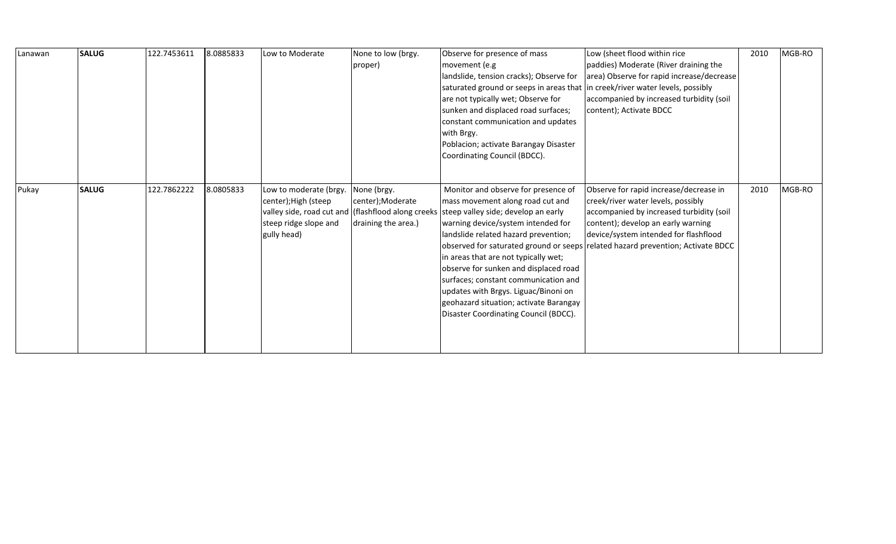| Lanawan | <b>SALUG</b> | 122.7453611 | 8.0885833 | Low to Moderate                                                                                                                               | None to low (brgy.<br>proper)                          | Observe for presence of mass<br>movement (e.g<br>landslide, tension cracks); Observe for<br>saturated ground or seeps in areas that in creek/river water levels, possibly<br>are not typically wet; Observe for<br>sunken and displaced road surfaces;<br>constant communication and updates<br>with Brgy.<br>Poblacion; activate Barangay Disaster<br>Coordinating Council (BDCC).                                                              | Low (sheet flood within rice<br>paddies) Moderate (River draining the<br>area) Observe for rapid increase/decrease<br>accompanied by increased turbidity (soil<br>content); Activate BDCC                                                                                                  | 2010 | MGB-RO |
|---------|--------------|-------------|-----------|-----------------------------------------------------------------------------------------------------------------------------------------------|--------------------------------------------------------|--------------------------------------------------------------------------------------------------------------------------------------------------------------------------------------------------------------------------------------------------------------------------------------------------------------------------------------------------------------------------------------------------------------------------------------------------|--------------------------------------------------------------------------------------------------------------------------------------------------------------------------------------------------------------------------------------------------------------------------------------------|------|--------|
| Pukay   | <b>SALUG</b> | 122.7862222 | 8.0805833 | Low to moderate (brgy.<br>center); High (steep<br>valley side, road cut and (flashflood along creeks)<br>steep ridge slope and<br>gully head) | None (brgy.<br>center);Moderate<br>draining the area.) | Monitor and observe for presence of<br>mass movement along road cut and<br>steep valley side; develop an early<br>warning device/system intended for<br>landslide related hazard prevention;<br>in areas that are not typically wet;<br>observe for sunken and displaced road<br>surfaces; constant communication and<br>updates with Brgys. Liguac/Binoni on<br>geohazard situation; activate Barangay<br>Disaster Coordinating Council (BDCC). | Observe for rapid increase/decrease in<br>creek/river water levels, possibly<br>accompanied by increased turbidity (soil<br>content); develop an early warning<br>device/system intended for flashflood<br>observed for saturated ground or seeps related hazard prevention; Activate BDCC | 2010 | MGB-RO |